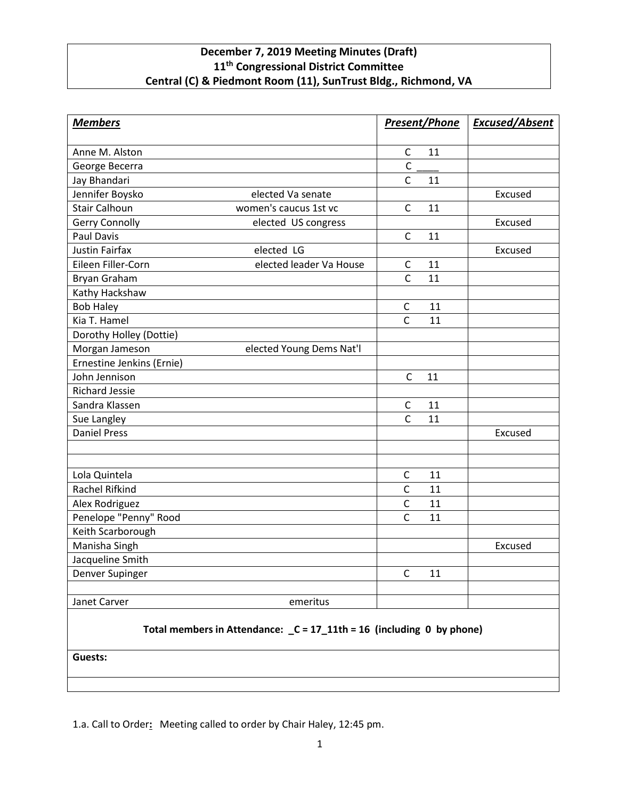## **December 7, 2019 Meeting Minutes (Draft) 11th Congressional District Committee Central (C) & Piedmont Room (11), SunTrust Bldg., Richmond, VA**

| <b>Members</b>                                                        |                          | <b>Present/Phone</b> |    | <b>Excused/Absent</b> |
|-----------------------------------------------------------------------|--------------------------|----------------------|----|-----------------------|
|                                                                       |                          |                      | 11 |                       |
| Anne M. Alston                                                        |                          | C<br>$\overline{C}$  |    |                       |
| George Becerra                                                        |                          |                      |    |                       |
| Jay Bhandari                                                          |                          | $\mathsf{C}$         | 11 |                       |
| Jennifer Boysko                                                       | elected Va senate        |                      |    | Excused               |
| <b>Stair Calhoun</b>                                                  | women's caucus 1st vc    | $\mathsf{C}$         | 11 |                       |
| Gerry Connolly                                                        | elected US congress      |                      |    | Excused               |
| <b>Paul Davis</b>                                                     |                          | $\mathsf{C}$         | 11 |                       |
| <b>Justin Fairfax</b>                                                 | elected LG               |                      |    | Excused               |
| Eileen Filler-Corn                                                    | elected leader Va House  | C                    | 11 |                       |
| Bryan Graham                                                          |                          | $\mathsf{C}$         | 11 |                       |
| Kathy Hackshaw                                                        |                          |                      |    |                       |
| <b>Bob Haley</b>                                                      |                          | С                    | 11 |                       |
| Kia T. Hamel                                                          |                          | $\mathsf{C}$         | 11 |                       |
| Dorothy Holley (Dottie)                                               |                          |                      |    |                       |
| Morgan Jameson                                                        | elected Young Dems Nat'l |                      |    |                       |
| Ernestine Jenkins (Ernie)                                             |                          |                      |    |                       |
| John Jennison                                                         |                          | $\mathsf{C}$         | 11 |                       |
| <b>Richard Jessie</b>                                                 |                          |                      |    |                       |
| Sandra Klassen                                                        |                          | $\mathsf{C}$         | 11 |                       |
| Sue Langley                                                           |                          | $\mathsf{C}$         | 11 |                       |
| <b>Daniel Press</b>                                                   |                          |                      |    | Excused               |
|                                                                       |                          |                      |    |                       |
| Lola Quintela                                                         |                          | С                    | 11 |                       |
| <b>Rachel Rifkind</b>                                                 |                          | $\mathsf{C}$         | 11 |                       |
| Alex Rodriguez                                                        |                          | $\mathsf{C}$         | 11 |                       |
| Penelope "Penny" Rood                                                 |                          | $\mathsf{C}$         | 11 |                       |
| Keith Scarborough                                                     |                          |                      |    |                       |
| Manisha Singh                                                         |                          |                      |    | Excused               |
| Jacqueline Smith                                                      |                          |                      |    |                       |
| Denver Supinger                                                       |                          | $\mathsf{C}$         | 11 |                       |
| Janet Carver                                                          | emeritus                 |                      |    |                       |
| Total members in Attendance: _C = 17_11th = 16 (including 0 by phone) |                          |                      |    |                       |

**Guests:**

1.a. Call to Order**:** Meeting called to order by Chair Haley, 12:45 pm.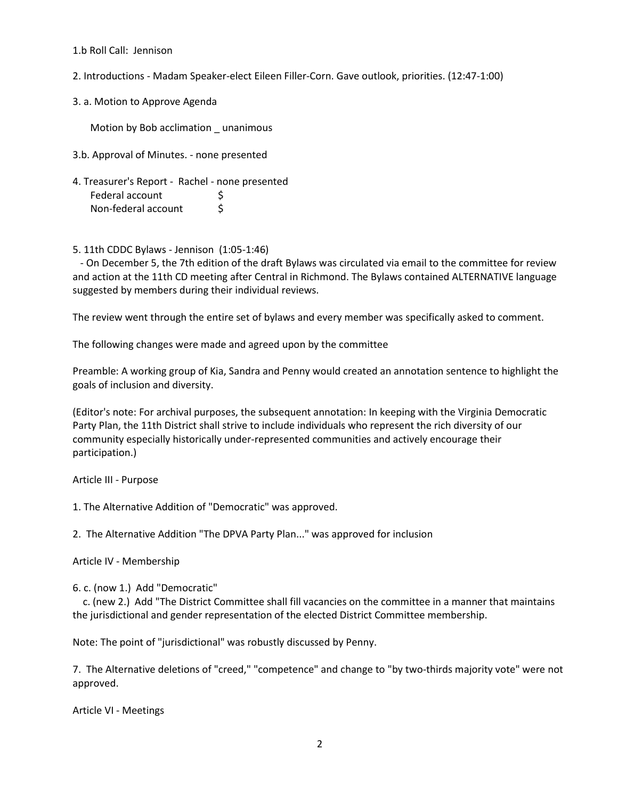## 1.b Roll Call: Jennison

- 2. Introductions Madam Speaker-elect Eileen Filler-Corn. Gave outlook, priorities. (12:47-1:00)
- 3. a. Motion to Approve Agenda

Motion by Bob acclimation unanimous

- 3.b. Approval of Minutes. none presented
- 4. Treasurer's Report Rachel none presented Federal account \$ Non-federal account \$
- 5. 11th CDDC Bylaws Jennison (1:05-1:46)

 - On December 5, the 7th edition of the draft Bylaws was circulated via email to the committee for review and action at the 11th CD meeting after Central in Richmond. The Bylaws contained ALTERNATIVE language suggested by members during their individual reviews.

The review went through the entire set of bylaws and every member was specifically asked to comment.

The following changes were made and agreed upon by the committee

Preamble: A working group of Kia, Sandra and Penny would created an annotation sentence to highlight the goals of inclusion and diversity.

(Editor's note: For archival purposes, the subsequent annotation: In keeping with the Virginia Democratic Party Plan, the 11th District shall strive to include individuals who represent the rich diversity of our community especially historically under-represented communities and actively encourage their participation.)

Article III - Purpose

1. The Alternative Addition of "Democratic" was approved.

2. The Alternative Addition "The DPVA Party Plan..." was approved for inclusion

Article IV - Membership

6. c. (now 1.) Add "Democratic"

 c. (new 2.) Add "The District Committee shall fill vacancies on the committee in a manner that maintains the jurisdictional and gender representation of the elected District Committee membership.

Note: The point of "jurisdictional" was robustly discussed by Penny.

7. The Alternative deletions of "creed," "competence" and change to "by two-thirds majority vote" were not approved.

Article VI - Meetings